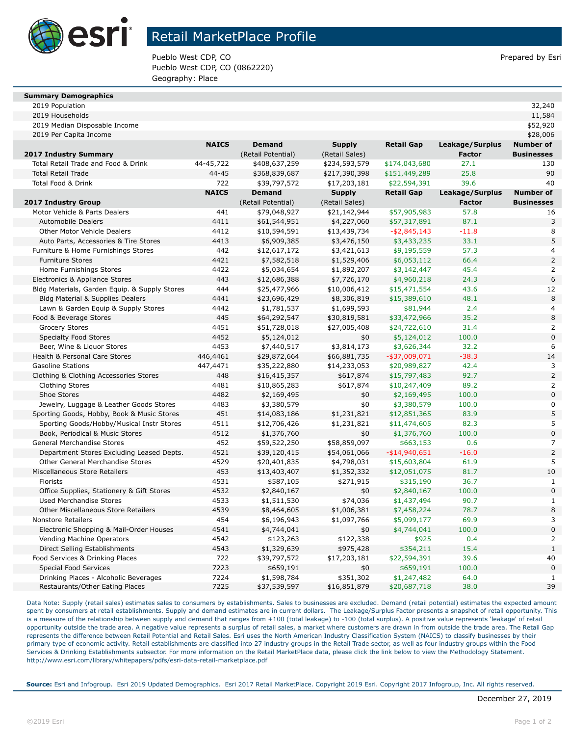

## Retail MarketPlace Profile

Pueblo West CDP, CO **Prepared by Esri** Pueblo West CDP, CO (0862220) Geography: Place

#### **Summary Demographics**

2019 Population 32,240

| 2019 Median Disposable Income                 |              |                    |                |                   |                 | \$52,920                |
|-----------------------------------------------|--------------|--------------------|----------------|-------------------|-----------------|-------------------------|
| 2019 Per Capita Income                        |              |                    |                |                   |                 | \$28,006                |
|                                               | <b>NAICS</b> | <b>Demand</b>      | <b>Supply</b>  | <b>Retail Gap</b> | Leakage/Surplus | <b>Number of</b>        |
| 2017 Industry Summary                         |              | (Retail Potential) | (Retail Sales) |                   | <b>Factor</b>   | <b>Businesses</b>       |
| Total Retail Trade and Food & Drink           | 44-45,722    | \$408,637,259      | \$234,593,579  | \$174,043,680     | 27.1            | 130                     |
| <b>Total Retail Trade</b>                     | $44 - 45$    | \$368,839,687      | \$217,390,398  | \$151,449,289     | 25.8            | 90                      |
| <b>Total Food &amp; Drink</b>                 | 722          | \$39,797,572       | \$17,203,181   | \$22,594,391      | 39.6            | 40                      |
|                                               | <b>NAICS</b> | <b>Demand</b>      | <b>Supply</b>  | <b>Retail Gap</b> | Leakage/Surplus | <b>Number of</b>        |
| 2017 Industry Group                           |              | (Retail Potential) | (Retail Sales) |                   | <b>Factor</b>   | <b>Businesses</b>       |
| Motor Vehicle & Parts Dealers                 | 441          | \$79,048,927       | \$21,142,944   | \$57,905,983      | 57.8            | 16                      |
| <b>Automobile Dealers</b>                     | 4411         | \$61,544,951       | \$4,227,060    | \$57,317,891      | 87.1            | 3                       |
| Other Motor Vehicle Dealers                   | 4412         | \$10,594,591       | \$13,439,734   | $-$ \$2,845,143   | $-11.8$         | 8                       |
| Auto Parts, Accessories & Tire Stores         | 4413         | \$6,909,385        | \$3,476,150    | \$3,433,235       | 33.1            | 5                       |
| Furniture & Home Furnishings Stores           | 442          | \$12,617,172       | \$3,421,613    | \$9,195,559       | 57.3            | 4                       |
| <b>Furniture Stores</b>                       | 4421         | \$7,582,518        | \$1,529,406    | \$6,053,112       | 66.4            | $\overline{2}$          |
| Home Furnishings Stores                       | 4422         | \$5,034,654        | \$1,892,207    | \$3,142,447       | 45.4            | $\overline{2}$          |
| Electronics & Appliance Stores                | 443          | \$12,686,388       | \$7,726,170    | \$4,960,218       | 24.3            | 6                       |
| Bldg Materials, Garden Equip. & Supply Stores | 444          | \$25,477,966       | \$10,006,412   | \$15,471,554      | 43.6            | 12                      |
| <b>Bldg Material &amp; Supplies Dealers</b>   | 4441         | \$23,696,429       | \$8,306,819    | \$15,389,610      | 48.1            | 8                       |
| Lawn & Garden Equip & Supply Stores           | 4442         | \$1,781,537        | \$1,699,593    | \$81,944          | 2.4             | 4                       |
| Food & Beverage Stores                        | 445          | \$64,292,547       | \$30,819,581   | \$33,472,966      | 35.2            | 8                       |
| <b>Grocery Stores</b>                         | 4451         | \$51,728,018       | \$27,005,408   | \$24,722,610      | 31.4            | $\overline{2}$          |
| <b>Specialty Food Stores</b>                  | 4452         | \$5,124,012        | \$0            | \$5,124,012       | 100.0           | $\overline{0}$          |
| Beer, Wine & Liquor Stores                    | 4453         | \$7,440,517        | \$3,814,173    | \$3,626,344       | 32.2            | 6                       |
| Health & Personal Care Stores                 | 446,4461     | \$29,872,664       | \$66,881,735   | $-$ \$37,009,071  | $-38.3$         | 14                      |
| <b>Gasoline Stations</b>                      | 447,4471     | \$35,222,880       | \$14,233,053   | \$20,989,827      | 42.4            | 3                       |
| Clothing & Clothing Accessories Stores        | 448          | \$16,415,357       | \$617,874      | \$15,797,483      | 92.7            | $\overline{\mathbf{c}}$ |
| <b>Clothing Stores</b>                        | 4481         | \$10,865,283       | \$617,874      | \$10,247,409      | 89.2            | $\overline{2}$          |
| Shoe Stores                                   | 4482         | \$2,169,495        | \$0            | \$2,169,495       | 100.0           | $\overline{0}$          |
| Jewelry, Luggage & Leather Goods Stores       | 4483         | \$3,380,579        | \$0            | \$3,380,579       | 100.0           | 0                       |
| Sporting Goods, Hobby, Book & Music Stores    | 451          | \$14,083,186       | \$1,231,821    | \$12,851,365      | 83.9            | 5                       |
| Sporting Goods/Hobby/Musical Instr Stores     | 4511         | \$12,706,426       | \$1,231,821    | \$11,474,605      | 82.3            | 5                       |
| Book, Periodical & Music Stores               | 4512         | \$1,376,760        | \$0            | \$1,376,760       | 100.0           | $\overline{0}$          |
| General Merchandise Stores                    | 452          | \$59,522,250       | \$58,859,097   | \$663,153         | 0.6             | $\overline{7}$          |
| Department Stores Excluding Leased Depts.     | 4521         | \$39,120,415       | \$54,061,066   | $-$14,940,651$    | $-16.0$         | $\overline{a}$          |
| Other General Merchandise Stores              | 4529         | \$20,401,835       | \$4,798,031    | \$15,603,804      | 61.9            | 5                       |
| Miscellaneous Store Retailers                 | 453          | \$13,403,407       | \$1,352,332    | \$12,051,075      | 81.7            | 10                      |
| Florists                                      | 4531         | \$587,105          | \$271,915      | \$315,190         | 36.7            | $\mathbf{1}$            |
| Office Supplies, Stationery & Gift Stores     | 4532         | \$2,840,167        | \$0            | \$2,840,167       | 100.0           | $\overline{0}$          |
| <b>Used Merchandise Stores</b>                | 4533         | \$1,511,530        | \$74,036       | \$1,437,494       | 90.7            | $\mathbf{1}$            |
| <b>Other Miscellaneous Store Retailers</b>    | 4539         | \$8,464,605        | \$1,006,381    | \$7,458,224       | 78.7            | 8                       |
| <b>Nonstore Retailers</b>                     | 454          | \$6,196,943        | \$1,097,766    | \$5,099,177       | 69.9            | 3                       |
| Electronic Shopping & Mail-Order Houses       | 4541         | \$4,744,041        | \$0            | \$4,744,041       | 100.0           | $\overline{0}$          |
| Vending Machine Operators                     | 4542         | \$123,263          | \$122,338      | \$925             | 0.4             | $\overline{\mathbf{c}}$ |
| Direct Selling Establishments                 | 4543         | \$1,329,639        | \$975,428      | \$354,211         | 15.4            | $\mathbf{1}$            |
| Food Services & Drinking Places               | 722          | \$39,797,572       | \$17,203,181   | \$22,594,391      | 39.6            | 40                      |
| Special Food Services                         | 7223         | \$659,191          | \$0            | \$659,191         | 100.0           | $\overline{0}$          |
| Drinking Places - Alcoholic Beverages         | 7224         | \$1,598,784        | \$351,302      | \$1,247,482       | 64.0            |                         |
| Restaurants/Other Eating Places               | 7225         | \$37,539,597       | \$16,851,879   | \$20,687,718      | 38.0            | 39                      |
|                                               |              |                    |                |                   |                 |                         |

2019 Households 11,584

Data Note: Supply (retail sales) estimates sales to consumers by establishments. Sales to businesses are excluded. Demand (retail potential) estimates the expected amount spent by consumers at retail establishments. Supply and demand estimates are in current dollars. The Leakage/Surplus Factor presents a snapshot of retail opportunity. This is a measure of the relationship between supply and demand that ranges from +100 (total leakage) to -100 (total surplus). A positive value represents 'leakage' of retail opportunity outside the trade area. A negative value represents a surplus of retail sales, a market where customers are drawn in from outside the trade area. The Retail Gap represents the difference between Retail Potential and Retail Sales. Esri uses the North American Industry Classification System (NAICS) to classify businesses by their primary type of economic activity. Retail establishments are classified into 27 industry groups in the Retail Trade sector, as well as four industry groups within the Food Services & Drinking Establishments subsector. For more information on the Retail MarketPlace data, please click the link below to view the Methodology Statement. http://www.esri.com/library/whitepapers/pdfs/esri-data-retail-marketplace.pdf

**Source:** Esri and Infogroup. Esri 2019 Updated Demographics. Esri 2017 Retail MarketPlace. Copyright 2019 Esri. Copyright 2017 Infogroup, Inc. All rights reserved.